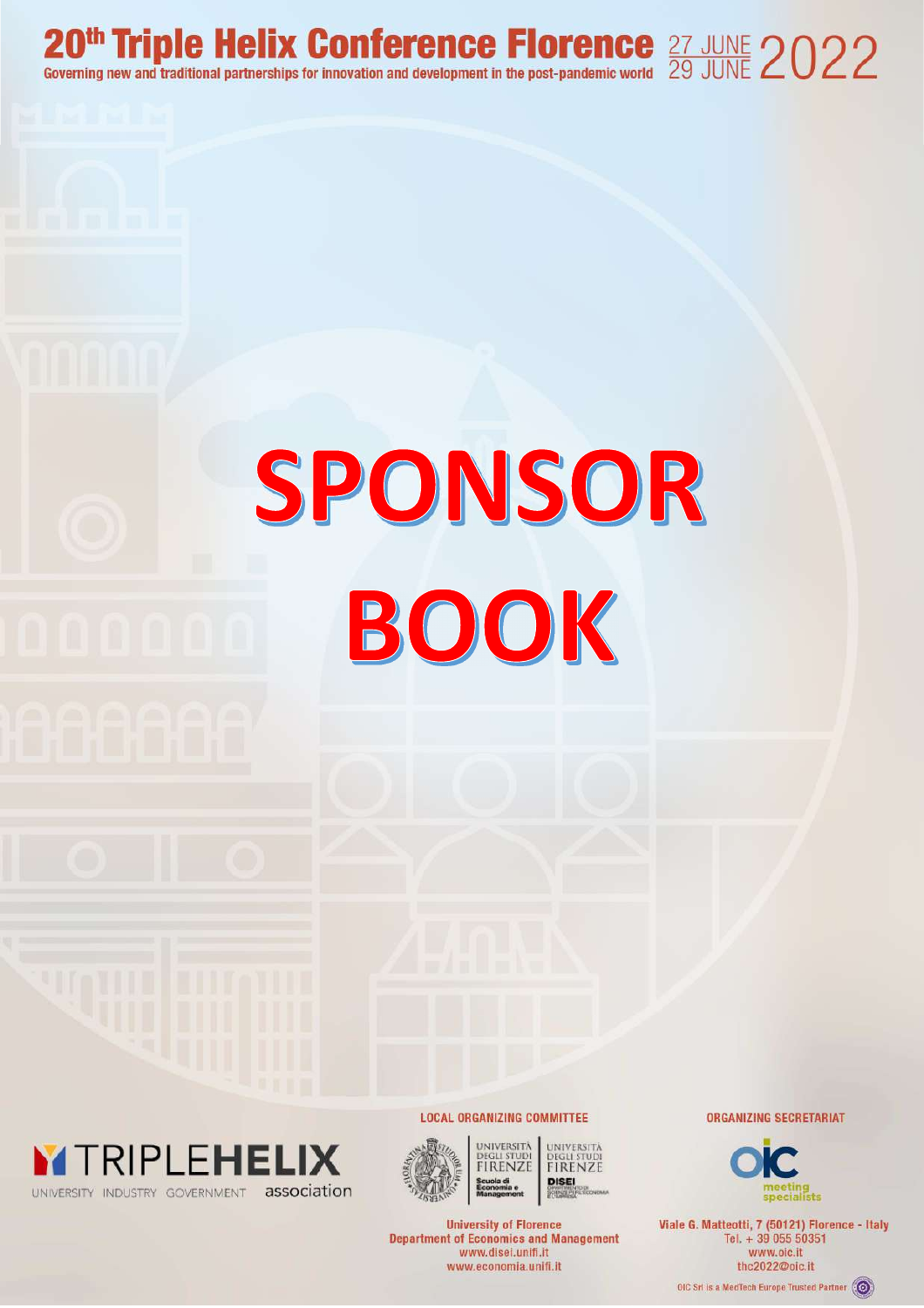20<sup>th</sup> Triple Helix Conference Florence  $\frac{27 \text{ JUNE}}{29 \text{ JUNE}}$  2022

# SPONSOR BOOK





UNIVERSITÀ UNIVERSITÄ **DEGLI STUDI**<br>FIRENZE **FIRENZE DISEI** 

**University of Florence Department of Economics and Management** www.disei.unifi.it www.economia.unifi.it

**LOCAL ORGANIZING COMMITTEE** 

**ORGANIZING SECRETARIAT** 



Viale G. Matteotti, 7 (50121) Florence - Italy Tel. + 39 055 50351 www.oic.it thc2022@oic.it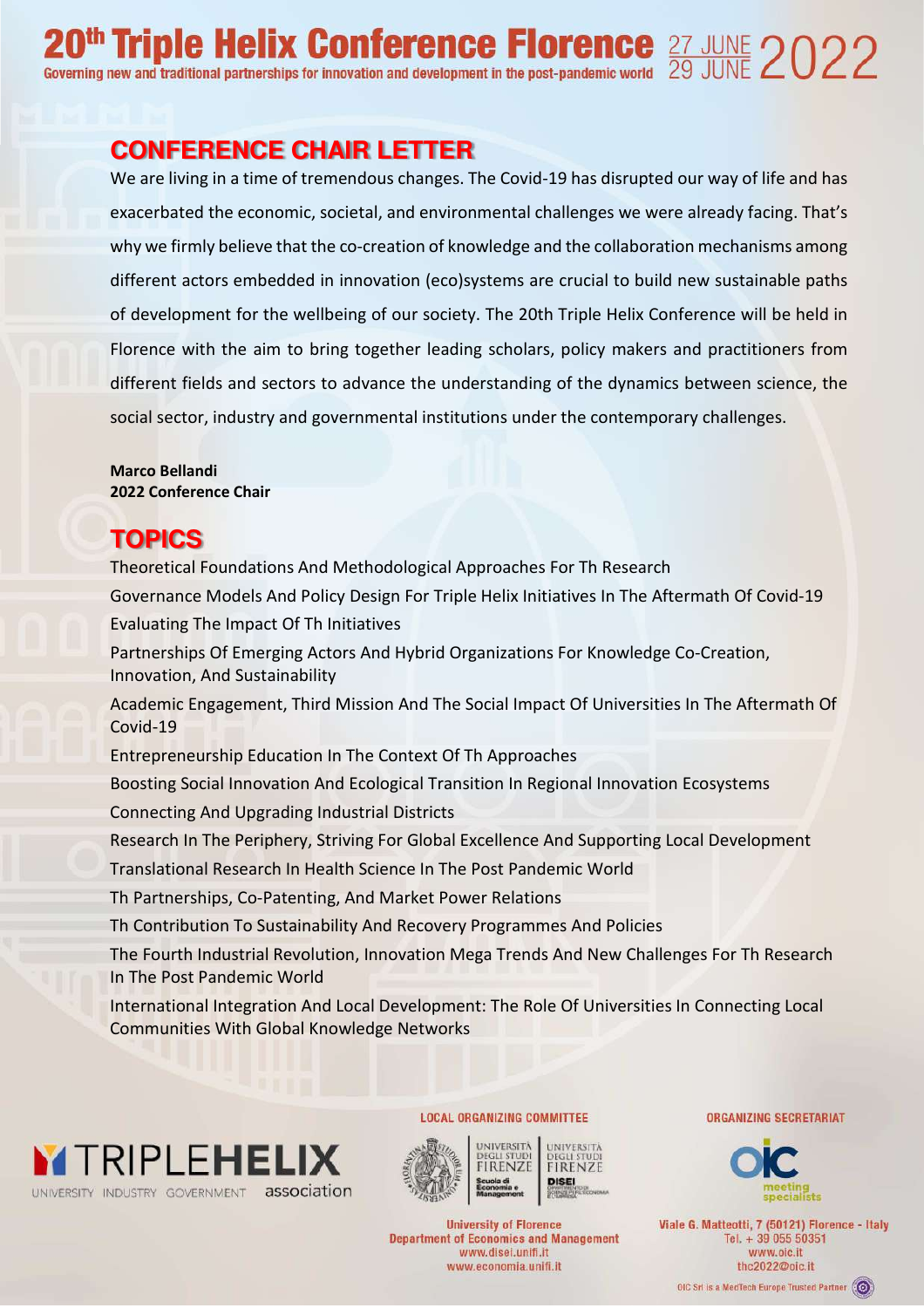# **CONFERENCE CHAIR LETTER**

We are living in a time of tremendous changes. The Covid-19 has disrupted our way of life and has exacerbated the economic, societal, and environmental challenges we were already facing. That's why we firmly believe that the co-creation of knowledge and the collaboration mechanisms among different actors embedded in innovation (eco)systems are crucial to build new sustainable paths of development for the wellbeing of our society. The 20th Triple Helix Conference will be held in Florence with the aim to bring together leading scholars, policy makers and practitioners from different fields and sectors to advance the understanding of the dynamics between science, the social sector, industry and governmental institutions under the contemporary challenges.

**Marco Bellandi 2022 Conference Chair** 

# **TOPICS**

Theoretical Foundations And Methodological Approaches For Th Research Governance Models And Policy Design For Triple Helix Initiatives In The Aftermath Of Covid-19 Evaluating The Impact Of Th Initiatives Partnerships Of Emerging Actors And Hybrid Organizations For Knowledge Co-Creation, Innovation, And Sustainability Academic Engagement, Third Mission And The Social Impact Of Universities In The Aftermath Of Covid-19 Entrepreneurship Education In The Context Of Th Approaches Boosting Social Innovation And Ecological Transition In Regional Innovation Ecosystems Connecting And Upgrading Industrial Districts Research In The Periphery, Striving For Global Excellence And Supporting Local Development Translational Research In Health Science In The Post Pandemic World Th Partnerships, Co-Patenting, And Market Power Relations Th Contribution To Sustainability And Recovery Programmes And Policies The Fourth Industrial Revolution, Innovation Mega Trends And New Challenges For Th Research In The Post Pandemic World

International Integration And Local Development: The Role Of Universities In Connecting Local Communities With Global Knowledge Networks





UNIVERSITÀ UNIVERSITÄ **FIRENZE DISEI** 

**University of Florence Department of Economics and Management** www.disei.unifi.it www.economia.unifi.it

**LOCAL ORGANIZING COMMITTEE** 

**ORGANIZING SECRETARIAT** 



Viale G. Matteotti, 7 (50121) Florence - Italy Tel. + 39 055 50351 www.oic.it thc2022@oic.it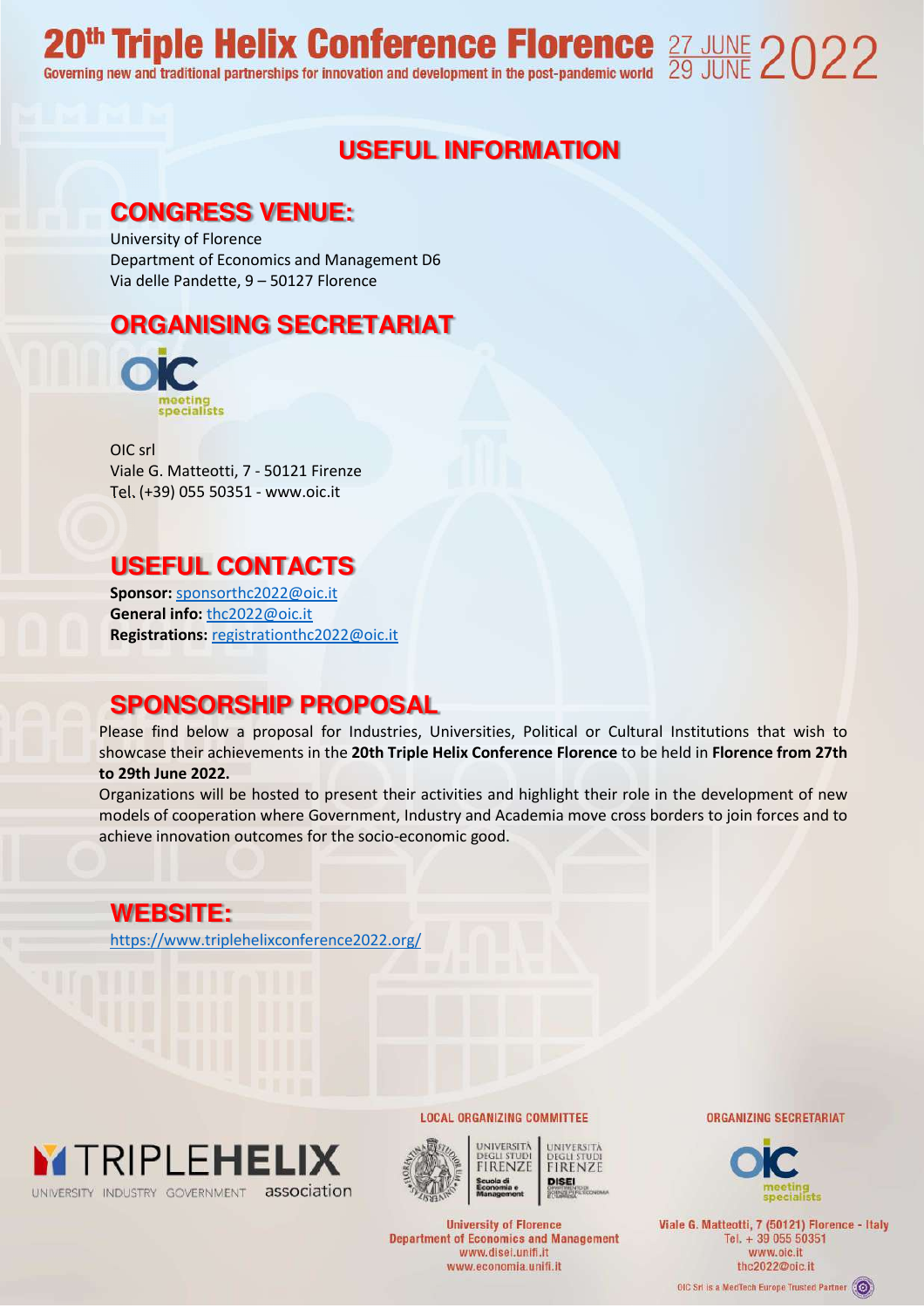# **USEFUL INFORMATION**

## **CONGRESS VENUE:**

University of Florence Department of Economics and Management D6 Via delle Pandette, 9 – 50127 Florence

# **ORGANISING SECRETARIAT**



OIC srl Viale G. Matteotti, 7 - 50121 Firenze Tel. (+39) 055 50351 - www.oic.it

# **USEFUL CONTACTS**

**Sponsor:** sponsorthc2022@oic.it **General info:** thc2022@oic.it **Registrations:** registrationthc2022@oic.it

# **SPONSORSHIP PROPOSAL**

Please find below a proposal for Industries, Universities, Political or Cultural Institutions that wish to showcase their achievements in the **20th Triple Helix Conference Florence** to be held in **Florence from 27th to 29th June 2022.** 

Organizations will be hosted to present their activities and highlight their role in the development of new models of cooperation where Government, Industry and Academia move cross borders to join forces and to achieve innovation outcomes for the socio-economic good.

**WEBSITE:**  https://www.triplehelixconference2022.org/





UNIVERSITÀ UNIVERSITÄ **FIRENZE FIRENZE DISEI** 

**University of Florence Department of Economics and Management** www.disei.unifi.it www.economia.unifi.it

**LOCAL ORGANIZING COMMITTEE** 

**ORGANIZING SECRETARIAT** 



Viale G. Matteotti, 7 (50121) Florence - Italy Tel. + 39 055 50351 www.oic.it thc2022@pic.it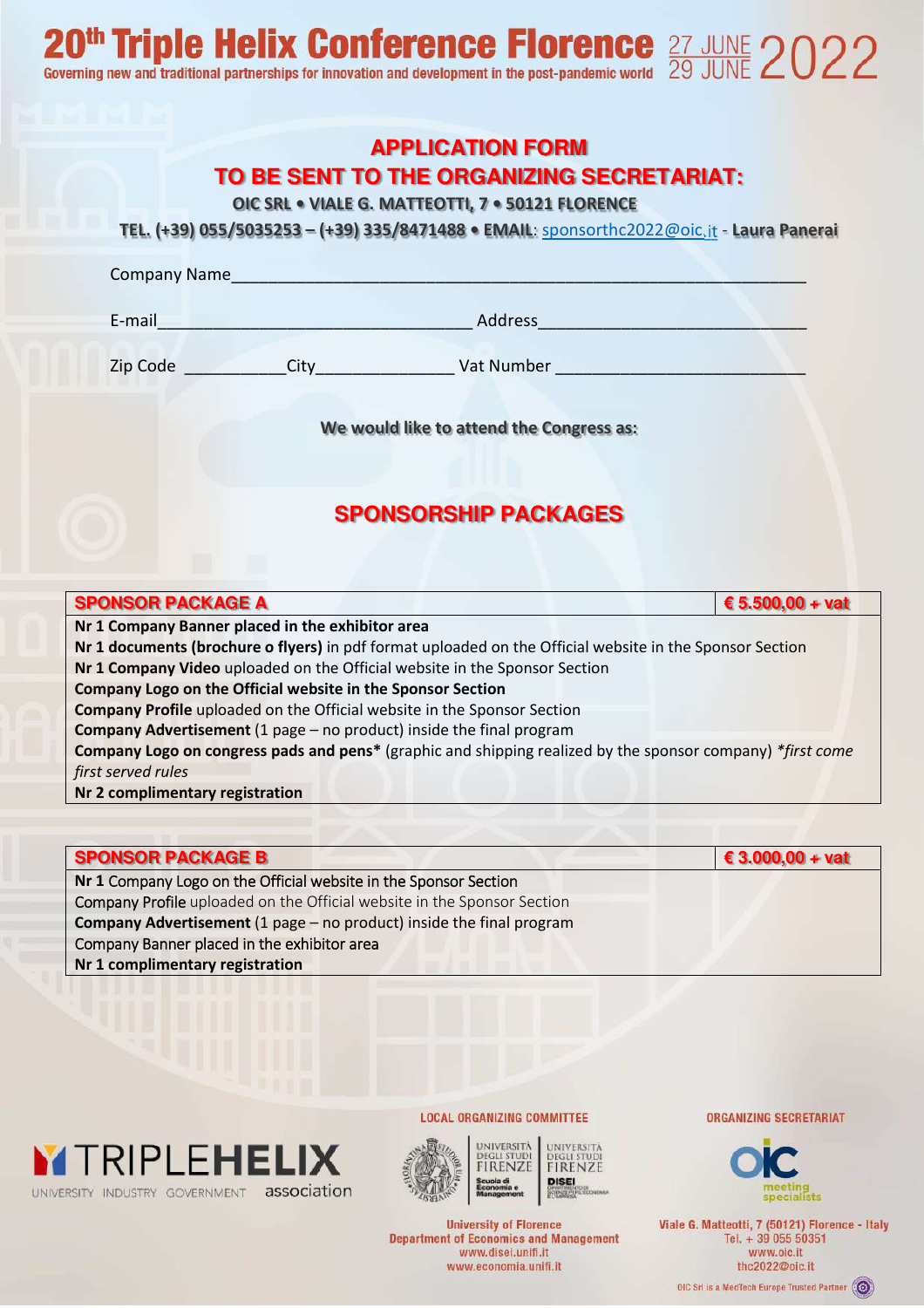#### **APPLICATION FORM**

#### **TO BE SENT TO THE ORGANIZING SECRETARIAT:**

**OIC SRL • VIALE G. MATTEOTTI, 7 • 50121 FLORENCE** 

**TEL. (+39) 055/5035253 – (+39) 335/8471488 • EMAIL**: sponsorthc2022@oic.it - **Laura Panerai**

| Company Name |  |  |
|--------------|--|--|
|              |  |  |
|              |  |  |
|              |  |  |

E-mail\_\_\_\_\_\_\_\_\_\_\_\_\_\_\_\_\_\_\_\_\_\_\_\_\_\_\_\_\_\_\_\_\_\_ Address\_\_\_\_\_\_\_\_\_\_\_\_\_\_\_\_\_\_\_\_\_\_\_\_\_\_\_\_\_

Zip Code \_\_\_\_\_\_\_\_\_\_\_City\_\_\_\_\_\_\_\_\_\_\_\_\_\_\_ Vat Number \_\_\_\_\_\_\_\_\_\_\_\_\_\_\_\_\_\_\_\_\_\_\_\_\_\_\_

**We would like to attend the Congress as:** 

### **SPONSORSHIP PACKAGES**

| <b>SPONSOR PACKAGE A</b>                                                                                   | € 5.500,00 + vat |
|------------------------------------------------------------------------------------------------------------|------------------|
| Nr 1 Company Banner placed in the exhibitor area                                                           |                  |
| Nr 1 documents (brochure o flyers) in pdf format uploaded on the Official website in the Sponsor Section   |                  |
| Nr 1 Company Video uploaded on the Official website in the Sponsor Section                                 |                  |
| Company Logo on the Official website in the Sponsor Section                                                |                  |
| <b>Company Profile</b> uploaded on the Official website in the Sponsor Section                             |                  |
| <b>Company Advertisement</b> (1 page $-$ no product) inside the final program                              |                  |
| Company Logo on congress pads and pens* (graphic and shipping realized by the sponsor company) *first come |                  |
| first served rules                                                                                         |                  |
| Nr 2 complimentary registration                                                                            |                  |

#### **SPONSOR PACKAGE B € 3.000,00 + vat Nr 1** Company Logo on the Official website in the Sponsor Section Company Profile uploaded on the Official website in the Sponsor Section **Company Advertisement** (1 page – no product) inside the final program Company Banner placed in the exhibitor area **Nr 1 complimentary registration**





UNIVERSITÄ FIRENZE **DISEI** 

**University of Florence Department of Economics and Management** www.disei.unifi.it www.economia.unifi.it

**LOCAL ORGANIZING COMMITTEE** 

**ORGANIZING SECRETARIAT** 



Viale G. Matteotti, 7 (50121) Florence - Italy Tel. + 39 055 50351 www.oic.it thc2022@oic.it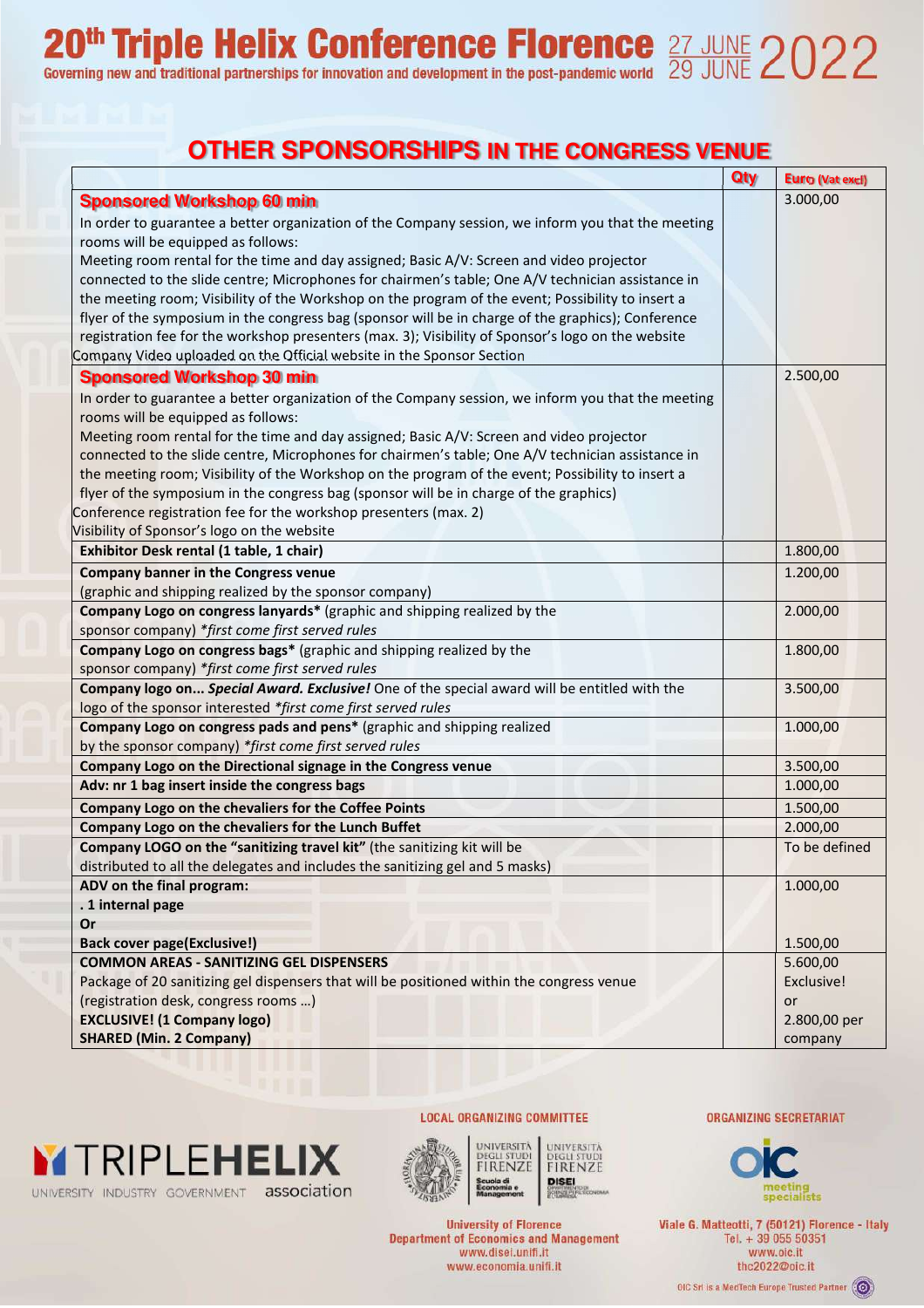# 20<sup>th</sup> Triple Helix Conference Florence  $\frac{27 \text{ JUNE}}{29 \text{ JUNE}}$  2022

# **OTHER SPONSORSHIPS IN THE CONGRESS VENUE**

|                                                                                                    | Qty | <b>Euro (Vat excl)</b> |
|----------------------------------------------------------------------------------------------------|-----|------------------------|
| <b>Sponsored Workshop 60 min</b>                                                                   |     | 3.000,00               |
| In order to guarantee a better organization of the Company session, we inform you that the meeting |     |                        |
| rooms will be equipped as follows:                                                                 |     |                        |
| Meeting room rental for the time and day assigned; Basic A/V: Screen and video projector           |     |                        |
| connected to the slide centre; Microphones for chairmen's table; One A/V technician assistance in  |     |                        |
| the meeting room; Visibility of the Workshop on the program of the event; Possibility to insert a  |     |                        |
| flyer of the symposium in the congress bag (sponsor will be in charge of the graphics); Conference |     |                        |
| registration fee for the workshop presenters (max. 3); Visibility of Sponsor's logo on the website |     |                        |
| Company Video uploaded on the Official website in the Sponsor Section                              |     |                        |
| <b>Sponsored Workshop 30 min</b>                                                                   |     | 2.500,00               |
| In order to guarantee a better organization of the Company session, we inform you that the meeting |     |                        |
| rooms will be equipped as follows:                                                                 |     |                        |
| Meeting room rental for the time and day assigned; Basic A/V: Screen and video projector           |     |                        |
| connected to the slide centre, Microphones for chairmen's table; One A/V technician assistance in  |     |                        |
| the meeting room; Visibility of the Workshop on the program of the event; Possibility to insert a  |     |                        |
| flyer of the symposium in the congress bag (sponsor will be in charge of the graphics)             |     |                        |
| Conference registration fee for the workshop presenters (max. 2)                                   |     |                        |
| Visibility of Sponsor's logo on the website                                                        |     |                        |
| Exhibitor Desk rental (1 table, 1 chair)                                                           |     | 1.800,00               |
| <b>Company banner in the Congress venue</b>                                                        |     | 1.200,00               |
| (graphic and shipping realized by the sponsor company)                                             |     |                        |
| Company Logo on congress lanyards* (graphic and shipping realized by the                           |     | 2.000,00               |
| sponsor company) *first come first served rules                                                    |     |                        |
| Company Logo on congress bags* (graphic and shipping realized by the                               |     | 1.800,00               |
| sponsor company) *first come first served rules                                                    |     |                        |
| Company logo on Special Award. Exclusive! One of the special award will be entitled with the       |     | 3.500,00               |
| logo of the sponsor interested *first come first served rules                                      |     |                        |
| Company Logo on congress pads and pens* (graphic and shipping realized                             |     | 1.000,00               |
| by the sponsor company) *first come first served rules                                             |     |                        |
| Company Logo on the Directional signage in the Congress venue                                      |     | 3.500,00               |
| Adv: nr 1 bag insert inside the congress bags                                                      |     | 1.000,00               |
| <b>Company Logo on the chevaliers for the Coffee Points</b>                                        |     | 1.500,00               |
| Company Logo on the chevaliers for the Lunch Buffet                                                |     | 2.000,00               |
| Company LOGO on the "sanitizing travel kit" (the sanitizing kit will be                            |     | To be defined          |
| distributed to all the delegates and includes the sanitizing gel and 5 masks)                      |     |                        |
| ADV on the final program:                                                                          |     | 1.000,00               |
| . 1 internal page                                                                                  |     |                        |
| Or                                                                                                 |     |                        |
| <b>Back cover page(Exclusive!)</b>                                                                 |     | 1.500,00               |
| <b>COMMON AREAS - SANITIZING GEL DISPENSERS</b>                                                    |     | 5.600,00               |
| Package of 20 sanitizing gel dispensers that will be positioned within the congress venue          |     | Exclusive!             |
| (registration desk, congress rooms )                                                               |     | or                     |
| <b>EXCLUSIVE!</b> (1 Company logo)                                                                 |     | 2.800,00 per           |
| <b>SHARED (Min. 2 Company)</b>                                                                     |     | company                |





UNIVERSITÀ UNIVERSITÀ **DEGLI STUDI**<br>**FIRENZE DEGLI STUDI**<br>**FIRENZE DISE!** 

**LOCAL ORGANIZING COMMITTEE** 

**University of Florence Department of Economics and Management** 

www.disei.unifi.it

www.economia.unifi.it

**ORGANIZING SECRETARIAT** 



Viale G. Matteotti, 7 (50121) Florence - Italy Tel. + 39 055 50351 www.oic.it thc2022@oic.it